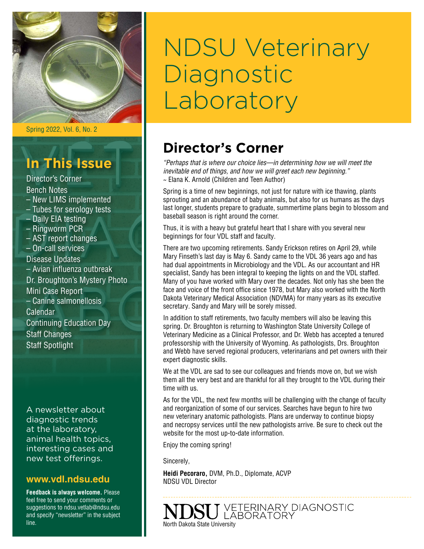

Spring 2022, Vol. 6, No. 2

# **In This Issue**

Director's Corner Bench Notes – New LIMS implemented – Tubes for serology tests – Daily EIA testing – Ringworm PCR – AST report changes – On-call services Disease Updates – Avian influenza outbreak Dr. Broughton's Mystery Photo Mini Case Report – Canine salmonellosis Calendar Continuing Education Day Staff Changes Staff Spotlight

A newsletter about diagnostic trends at the laboratory, animal health topics, interesting cases and new test offerings.

## **[www.vdl.ndsu.edu](file:///C:\Users\david.haasser\AppData\Local\Microsoft\Windows\Temporary%20Internet%20Files\Content.Outlook\2SAH4N2J\www.ag.ndsu.edu\ansc\)**

**Feedback is always welcome.** Please feel free to send your comments or suggestions to ndsu.vetlab@ndsu.edu and specify "newsletter" in the subject line.

# NDSU Veterinary **Diagnostic** Laboratory

# **Director's Corner**

*"Perhaps that is where our choice lies—in determining how we will meet the inevitable end of things, and how we will greet each new beginning."* ~ Elana K. Arnold (Children and Teen Author)

Spring is a time of new beginnings, not just for nature with ice thawing, plants sprouting and an abundance of baby animals, but also for us humans as the days last longer, students prepare to graduate, summertime plans begin to blossom and baseball season is right around the corner.

Thus, it is with a heavy but grateful heart that I share with you several new beginnings for four VDL staff and faculty.

There are two upcoming retirements. Sandy Erickson retires on April 29, while Mary Finseth's last day is May 6. Sandy came to the VDL 36 years ago and has had dual appointments in Microbiology and the VDL. As our accountant and HR specialist, Sandy has been integral to keeping the lights on and the VDL staffed. Many of you have worked with Mary over the decades. Not only has she been the face and voice of the front office since 1978, but Mary also worked with the North Dakota Veterinary Medical Association (NDVMA) for many years as its executive secretary. Sandy and Mary will be sorely missed.

In addition to staff retirements, two faculty members will also be leaving this spring. Dr. Broughton is returning to Washington State University College of Veterinary Medicine as a Clinical Professor, and Dr. Webb has accepted a tenured professorship with the University of Wyoming. As pathologists, Drs. Broughton and Webb have served regional producers, veterinarians and pet owners with their expert diagnostic skills.

We at the VDL are sad to see our colleagues and friends move on, but we wish them all the very best and are thankful for all they brought to the VDL during their time with us.

As for the VDL, the next few months will be challenging with the change of faculty and reorganization of some of our services. Searches have begun to hire two new veterinary anatomic pathologists. Plans are underway to continue biopsy and necropsy services until the new pathologists arrive. Be sure to check out the website for the most up-to-date information.

Enjoy the coming spring!

Sincerely,

**Heidi Pecoraro,** DVM, Ph.D., Diplomate, ACVP NDSU VDL Director

J VETERINARY DIAGNOSTIC<br>J LABORATORY North Dakota State University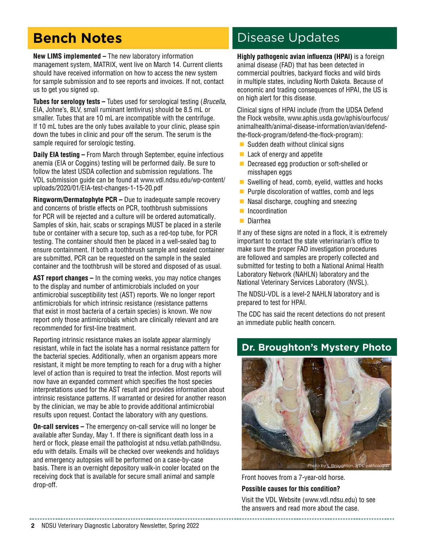# **Bench Notes**

**New LIMS implemented –** The new laboratory information management system, MATRIX, went live on March 14. Current clients should have received information on how to access the new system for sample submission and to see reports and invoices. If not, contact us to get you signed up.

**Tubes for serology tests –** Tubes used for serological testing (*Brucella*, EIA, Johne's, BLV, small ruminant lentivirus) should be 8.5 mL or smaller. Tubes that are 10 mL are incompatible with the centrifuge. If 10 mL tubes are the only tubes available to your clinic, please spin down the tubes in clinic and pour off the serum. The serum is the sample required for serologic testing.

**Daily EIA testing –** From March through September, equine infectious anemia (EIA or Coggins) testing will be performed daily. Be sure to follow the latest USDA collection and submission regulations. The VDL submission guide can be found at [www.vdl.ndsu.edu/wp-content/](http://www.vdl.ndsu.edu/wp-content/uploads/2020/01/EIA-test-changes-1-15-20.pdf) [uploads/2020/01/EIA-test-changes-1-15-20.pdf](http://www.vdl.ndsu.edu/wp-content/uploads/2020/01/EIA-test-changes-1-15-20.pdf)

**Ringworm/Dermatophyte PCR –** Due to inadequate sample recovery and concerns of bristle effects on PCR, toothbrush submissions for PCR will be rejected and a culture will be ordered automatically. Samples of skin, hair, scabs or scrapings MUST be placed in a sterile tube or container with a secure top, such as a red-top tube, for PCR testing. The container should then be placed in a well-sealed bag to ensure containment. If both a toothbrush sample and sealed container are submitted, PCR can be requested on the sample in the sealed container and the toothbrush will be stored and disposed of as usual.

**AST report changes –** In the coming weeks, you may notice changes to the display and number of antimicrobials included on your antimicrobial susceptibility test (AST) reports. We no longer report antimicrobials for which intrinsic resistance (resistance patterns that exist in most bacteria of a certain species) is known. We now report only those antimicrobials which are clinically relevant and are recommended for first-line treatment.

Reporting intrinsic resistance makes an isolate appear alarmingly resistant, while in fact the isolate has a normal resistance pattern for the bacterial species. Additionally, when an organism appears more resistant, it might be more tempting to reach for a drug with a higher level of action than is required to treat the infection. Most reports will now have an expanded comment which specifies the host species interpretations used for the AST result and provides information about intrinsic resistance patterns. If warranted or desired for another reason by the clinician, we may be able to provide additional antimicrobial results upon request. Contact the laboratory with any questions.

**On-call services –** The emergency on-call service will no longer be available after Sunday, May 1. If there is significant death loss in a herd or flock, please email the pathologist at ndsu.vetlab.path[@ndsu.](mailto:heidi.pecoraro@ndsu.edu) [edu](mailto:heidi.pecoraro@ndsu.edu) with details. Emails will be checked over weekends and holidays and emergency autopsies will be performed on a case-by-case basis. There is an overnight depository walk-in cooler located on the receiving dock that is available for secure small animal and sample drop-off.

## Disease Updates

**Highly pathogenic avian influenza (HPAI)** is a foreign animal disease (FAD) that has been detected in commercial poultries, backyard flocks and wild birds in multiple states, including North Dakota. Because of economic and trading consequences of HPAI, the US is on high alert for this disease.

Clinical signs of HPAI include (from the UDSA Defend the Flock website, [www.aphis.usda.gov/aphis/ourfocus/](https://www.aphis.usda.gov/aphis/ourfocus/animalhealth/animal-disease-information/avian/defend-the-flock-program/defend-the-flock-program) [animalhealth/animal-disease-information/avian/defend](https://www.aphis.usda.gov/aphis/ourfocus/animalhealth/animal-disease-information/avian/defend-the-flock-program/defend-the-flock-program)[the-flock-program/defend-the-flock-program](https://www.aphis.usda.gov/aphis/ourfocus/animalhealth/animal-disease-information/avian/defend-the-flock-program/defend-the-flock-program)):

- $\blacksquare$  Sudden death without clinical signs
- $\blacksquare$  Lack of energy and appetite
- Decreased egg production or soft-shelled or misshapen eggs
- $\blacksquare$  Swelling of head, comb, eyelid, wattles and hocks
- $\blacksquare$  Purple discoloration of wattles, comb and legs
- $\blacksquare$  Nasal discharge, coughing and sneezing
- **n** Incoordination
- **n** Diarrhea

If any of these signs are noted in a flock, it is extremely important to contact the state veterinarian's office to make sure the proper FAD investigation procedures are followed and samples are properly collected and submitted for testing to both a National Animal Health Laboratory Network (NAHLN) laboratory and the National Veterinary Services Laboratory (NVSL).

The NDSU-VDL is a level-2 NAHLN laboratory and is prepared to test for HPAI.

The CDC has said the recent detections do not present an immediate public health concern.

## **Dr. Broughton's Mystery Photo**



Front hooves from a 7-year-old horse.

**Possible causes for this condition?**

Visit the VDL Website [\(www.vdl.ndsu.edu\)](http://www.vdl.ndsu.edu) to see the answers and read more about the case.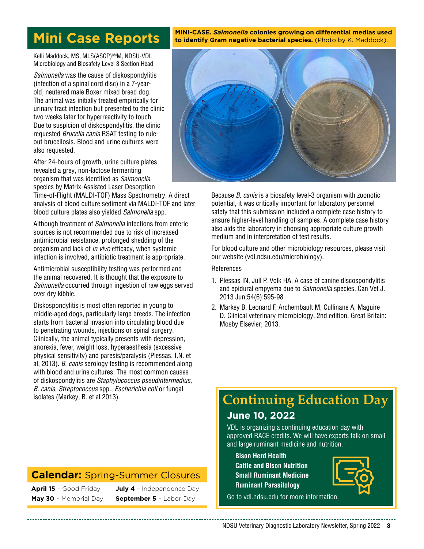## **Mini Case Reports**

**MINI-CASE.** *Salmonella* **colonies growing on differential medias used to identify Gram negative bacterial species.** (Photo by K. Maddock).

Kelli Maddock, MS, MLS(ASCP)<sup>cM</sup>M, NDSU-VDL Microbiology and Biosafety Level 3 Section Head

*Salmonella* was the cause of diskospondylitis (infection of a spinal cord disc) in a 7-yearold, neutered male Boxer mixed breed dog. The animal was initially treated empirically for urinary tract infection but presented to the clinic two weeks later for hyperreactivity to touch. Due to suspicion of diskospondylitis, the clinic requested *Brucella canis* RSAT testing to ruleout brucellosis. Blood and urine cultures were also requested.

After 24-hours of growth, urine culture plates revealed a grey, non-lactose fermenting organism that was identified as *Salmonella*  species by Matrix-Assisted Laser Desorption

Time-of-Flight (MALDI-TOF) Mass Spectrometry. A direct analysis of blood culture sediment via MALDI-TOF and later blood culture plates also yielded *Salmonella* spp.

Although treatment of *Salmonella* infections from enteric sources is not recommended due to risk of increased antimicrobial resistance, prolonged shedding of the organism and lack of *in vivo* efficacy, when systemic infection is involved, antibiotic treatment is appropriate.

Antimicrobial susceptibility testing was performed and the animal recovered. It is thought that the exposure to *Salmonella* occurred through ingestion of raw eggs served over dry kibble.

Diskospondylitis is most often reported in young to middle-aged dogs, particularly large breeds. The infection starts from bacterial invasion into circulating blood due to penetrating wounds, injections or spinal surgery. Clinically, the animal typically presents with depression, anorexia, fever, weight loss, hyperaesthesia (excessive physical sensitivity) and paresis/paralysis (Plessas, I.N. et al, 2013). *B. canis* serology testing is recommended along with blood and urine cultures. The most common causes of diskospondylitis are *Staphylococcus pseudintermedius, B. canis, Streptococcus* spp., *Escherichia coli* or fungal isolates (Markey, B. et al 2013).

## **Calendar:** Spring-Summer Closures

**April 15** – Good Friday **May 30** – Memorial Day

**July 4** – Independence Day **September 5** – Labor Day



Because *B. canis* is a biosafety level-3 organism with zoonotic potential, it was critically important for laboratory personnel safety that this submission included a complete case history to ensure higher-level handling of samples. A complete case history also aids the laboratory in choosing appropriate culture growth medium and in interpretation of test results.

For blood culture and other microbiology resources, please visit our website [\(vdl.ndsu.edu/microbiology](https://www.vdl.ndsu.edu/microbiology/)).

#### References

- 1. Plessas IN, Jull P, Volk HA. A case of canine discospondylitis and epidural empyema due to *Salmonella* species. Can Vet J. 2013 Jun;54(6):595-98.
- 2. Markey B, Leonard F, Archembault M, Cullinane A, Maguire D. Clinical veterinary microbiology. 2nd edition. Great Britain: Mosby Elsevier; 2013.

## **June 10, 2022 Continuing Education Day**

VDL is organizing a continuing education day with approved RACE credits. We will have experts talk on small and large ruminant medicine and nutrition.

**Bison Herd Health Cattle and Bison Nutrition Small Ruminant Medicine Ruminant Parasitology**



Go to [vdl.ndsu.edu](http://vdl.ndsu.edu) for more information.